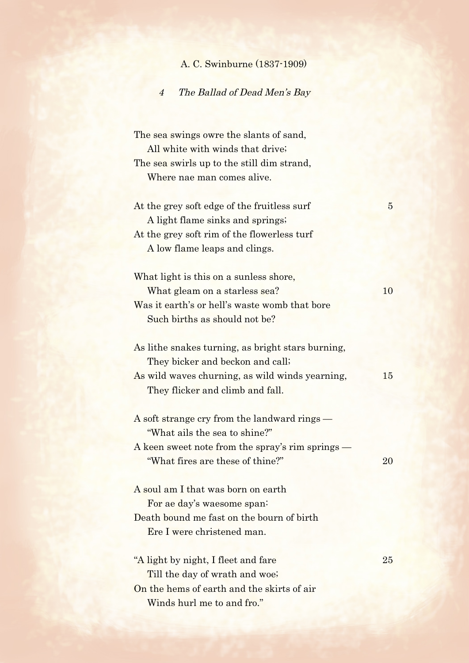|  |  | A. C. Swinburne (1837-1909) |  |  |
|--|--|-----------------------------|--|--|
|--|--|-----------------------------|--|--|

## 4 The Ballad of Dead Men's Bay

The sea swings owre the slants of sand, All white with winds that drive; The sea swirls up to the still dim strand, Where nae man comes alive.

At the grey soft edge of the fruitless surf 5 A light flame sinks and springs; At the grey soft rim of the flowerless turf A low flame leaps and clings.

What light is this on a sunless shore, What gleam on a starless sea? 10 Was it earth's or hell's waste womb that bore Such births as should not be?

As lithe snakes turning, as bright stars burning, They bicker and beckon and call; As wild waves churning, as wild winds yearning, 15 They flicker and climb and fall.

| A soft strange cry from the landward rings —     |    |
|--------------------------------------------------|----|
| "What ails the sea to shine?"                    |    |
| A keen sweet note from the spray's rim springs — |    |
| "What fires are these of thine?"                 | 20 |

A soul am I that was born on earth For ae day's waesome span: Death bound me fast on the bourn of birth Ere I were christened man.

"A light by night, I fleet and fare 25 Till the day of wrath and woe; On the hems of earth and the skirts of air Winds hurl me to and fro."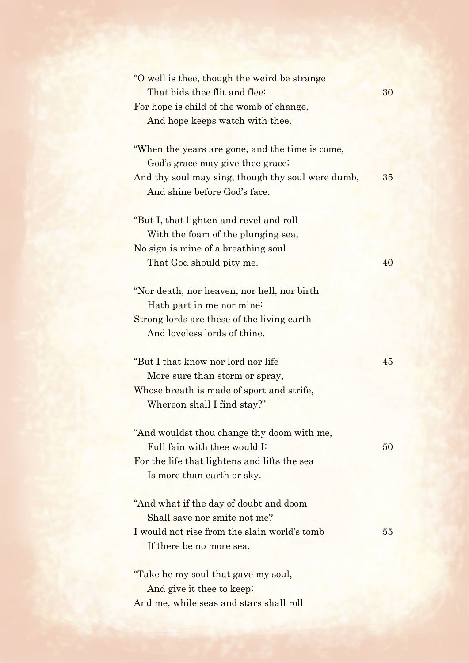| "O well is thee, though the weird be strange"     |    |
|---------------------------------------------------|----|
| That bids thee flit and flee;                     | 30 |
| For hope is child of the womb of change,          |    |
| And hope keeps watch with thee.                   |    |
|                                                   |    |
| "When the years are gone, and the time is come,   |    |
| God's grace may give thee grace;                  |    |
| And thy soul may sing, though thy soul were dumb, | 35 |
| And shine before God's face.                      |    |
| "But I, that lighten and revel and roll"          |    |
| With the foam of the plunging sea,                |    |
| No sign is mine of a breathing soul               |    |
|                                                   | 40 |
| That God should pity me.                          |    |
| "Nor death, nor heaven, nor hell, nor birth       |    |
| Hath part in me nor mine:                         |    |
| Strong lords are these of the living earth        |    |
| And loveless lords of thine.                      |    |
|                                                   |    |
| "But I that know nor lord nor life"               | 45 |
| More sure than storm or spray,                    |    |
| Whose breath is made of sport and strife,         |    |
| Whereon shall I find stay?"                       |    |
|                                                   |    |
| "And wouldst thou change thy doom with me,        |    |
| Full fain with thee would I:                      | 50 |
| For the life that lightens and lifts the sea      |    |
| Is more than earth or sky.                        |    |
| "And what if the day of doubt and doom            |    |
| Shall save nor smite not me?                      |    |
| I would not rise from the slain world's tomb      | 55 |
| If there be no more sea.                          |    |
|                                                   |    |
|                                                   |    |
| "Take he my soul that gave my soul,               |    |
| And give it thee to keep;                         |    |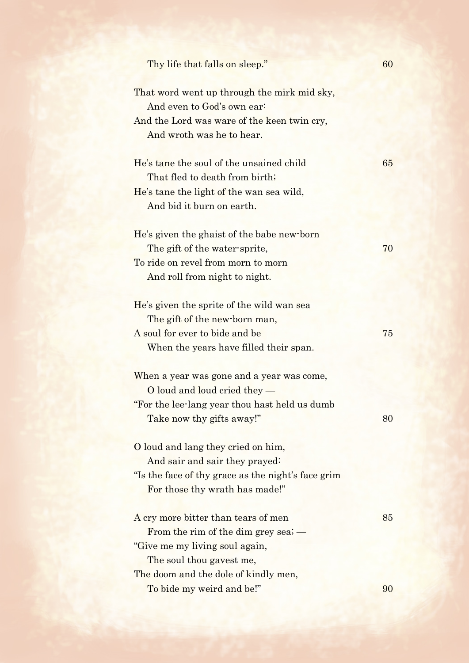| Thy life that falls on sleep."                                            | 60 |
|---------------------------------------------------------------------------|----|
| That word went up through the mirk mid sky,<br>And even to God's own ear: |    |
| And the Lord was ware of the keen twin cry,                               |    |
| And wroth was he to hear.                                                 |    |
| He's tane the soul of the unsained child                                  | 65 |
| That fled to death from birth;                                            |    |
| He's tane the light of the wan sea wild,                                  |    |
| And bid it burn on earth.                                                 |    |
| He's given the ghaist of the babe new-born                                |    |
| The gift of the water-sprite,                                             | 70 |
| To ride on revel from morn to morn                                        |    |
| And roll from night to night.                                             |    |
| He's given the sprite of the wild wan sea                                 |    |
| The gift of the new-born man,                                             |    |
| A soul for ever to bide and be                                            | 75 |
| When the years have filled their span.                                    |    |
| When a year was gone and a year was come,                                 |    |
| O loud and loud cried they -                                              |    |
| "For the lee-lang year thou hast held us dumb                             |    |
| Take now thy gifts away!"                                                 | 80 |
| O loud and lang they cried on him,                                        |    |
| And sair and sair they prayed:                                            |    |
| "Is the face of thy grace as the night's face grim                        |    |
| For those thy wrath has made!"                                            |    |
| A cry more bitter than tears of men                                       | 85 |
| From the rim of the dim grey sea; $-$                                     |    |
| "Give me my living soul again,                                            |    |
| The soul thou gavest me,                                                  |    |
| The doom and the dole of kindly men,                                      |    |
| To bide my weird and be!"                                                 | 90 |
|                                                                           |    |